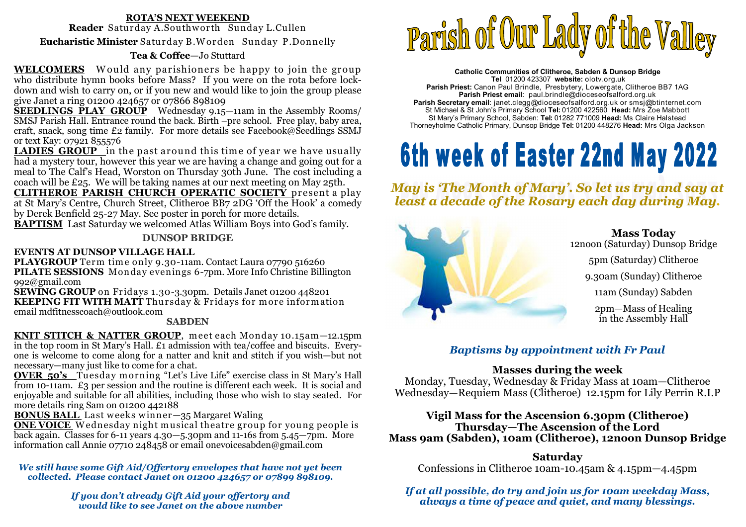# **ROTA'S NEXT WEEKEND**

**Reader** Saturday A.Southw orth Sunday L.Cullen

**Eucharistic Minister** Saturday B.W orden Sunday P.Donnelly

# **Tea & Coffee—**Jo Stuttard

**WELCOMERS** Would any parishioners be happy to join the group **WELCOMERS** Would any parishioners be happy to join the group who distribute hymn books before Mass? If you were on the rota before lockdown and wish to carry on, or if you new and would like to join the group please give Janet a ring 01200 424657 or 07866 898109

 **SEEDLINGS PLAY GROUP** Wednesday 9.15—11am in the Assembly Rooms/ SMSJ Parish Hall. Entrance round the back. Birth –pre school. Free play, baby area, craft, snack, song time £2 family. For more details see Facebook@Seedlings SSMJ or text Kay: 07921 855576

**LADIES GROUP** in the past around this time of year we have usually<br>had a mystery tour, however this year we are having a change and going out for a had a mystery tour, however this year we are having a change and going out for a meal to The Calf's Head, Worston on Thursday 30th June. The cost including a coach will be £25. We will be taking names at our next meeting on May 25th.

 **CLITHEROE PARISH CHURCH OPERATIC SOCIETY** present a play at St Mary's Centre, Church Street, Clitheroe BB7 2DG 'Off the Hook' a comedy by Derek Benfield 25-27 May. See poster in porch for more details.

**BAPTISM** Last Saturday we welcomed Atlas William Boys into God's family.

# **DUNSOP BRIDGE**

# **EVENTS AT DUNSOP VILLAGE HALL**

**PLAYGROUP** Term time only 9.30-11am. Contact Laura 07790 516260<br>PILATE SESSIONS, Monday evenings 6-7pm. More Info Christine Billi **PILATE SESSIONS** Monday evenings 6-7pm. More Info Christine Billington 992@gmail.com

 **SEWING GROUP** on Fridays 1.30-3.30pm. Details Janet 01200 448201**KEEPING FIT WITH MATT** Thursday & Fridays for more information<br>email mdfitnesscoach@outlook.com email mdfitnesscoach@outlook.com

#### **SABDEN**

KNIT STITCH & NATTER GROUP, meet each Monday 10.15am -12.15pm **KNIT STITCH & NATTER GROUP**, meet each Monday 10.15am—12.15pm<br>in the top room in St Mary's Hall. £1 admission with tea/coffee and biscuits. Everyone is welcome to come along for a natter and knit and stitch if you wish—but not necessary—many just like to come for a chat.

 **OVER 50's** Tuesday m orning "Let's Live Life" exercise class in St Mary's Hall from 10-11am. £3 per session and the routine is different each week. It is social and enjoyable and suitable for all abilities, including those who wish to stay seated. For more details ring Sam on 01200 442188

**BONUS BALL** Last weeks winner-35 Margaret Waling

**ONE VOICE** Wednesday night musical theatre group for young people is **ONE VOICE** <sup>W</sup> ednesday night musical theatre group for young people is back again. Classes for 6-11 years 4.30—5.30pm and 11-16s from 5.45—7pm. More information call Annie 07710 248458 or email onevoicesabden@gmail.com

#### *We still have some Gift Aid/Offertory envelopes that have not yet been collected. Please contact Janet on 01200 424657 or 07899 898109.*

*If you don't already Gift Aid your offertory and would like to see Janet on the above number* 



**Catholic Communities of Clitheroe, Sabden & Dunsop Bridge Tel** 01200 423307 **website:** olotv.org.uk **Parish Priest:** Canon Paul Brindle, Presbytery, Lowergate, Clitheroe BB7 1AG**Parish Priest email**: paul.brindle@dioceseofsalford.org.uk **Parish Secretary email**: janet.clegg@dioceseofsalford.org.uk or smsj@btinternet.com St Michael & St John's Primary School **Tel:** 01200 422560 **Head:** Mrs Zoe Mabbott St Mary's Primary School, Sabden: **Tel:** 01282 771009 **Head:** Ms Claire HalsteadThorneyholme Catholic Primary, Dunsop Bridge **Tel:** 01200 448276 **Head:** Mrs Olga Jackson

# 6th week of Easter 22nd May 2022

*May is 'The Month of Mary'. So let us try and say at least a decade of the Rosary each day during May.* 



**Mass Today** 12noon (Saturday) Dunsop Bridge5pm (Saturday) Clitheroe9.30am (Sunday) Clitheroe11am (Sunday) Sabden2pm—Mass of Healing in the Assembly Hall

# *Baptisms by appointment with Fr Paul*

# **Masses during the week**

 Monday, Tuesday, Wednesday & Friday Mass at 10am—Clitheroe Wednesday—Requiem Mass (Clitheroe) 12.15pm for Lily Perrin R.I.P

**Vigil Mass for the Ascension 6.30pm (Clitheroe) Thursday—The Ascension of the Lord Mass 9am (Sabden), 10am (Clitheroe), 12noon Dunsop Bridge**

**Saturday**Confessions in Clitheroe 10am-10.45am & 4.15pm—4.45pm

*If at all possible, do try and join us for 10am weekday Mass, always a time of peace and quiet, and many blessings.*